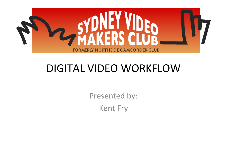

## DIGITAL VIDEO WORKFLOW

Presented by: Kent Fry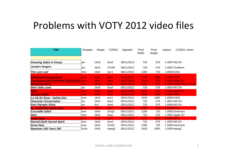#### Problems with VOTY 2012 video files

| <b>Title</b>                                      | Wrapper    | Shape | <b>CODEC</b> | Ingested   | Pixel<br>Width | Pixel<br>Height | Aspect       | CODEC owner             |
|---------------------------------------------------|------------|-------|--------------|------------|----------------|-----------------|--------------|-------------------------|
| Amazing Safari in Kenya                           | lavi       | 16x9  | dvsd         | 08/11/2012 | 720            | 576             | 1.4587 MS DV |                         |
| <b>Joubert Singers</b>                            | lavi       | 16x9  | <b>CFHD</b>  | 08/11/2012 | 720            | 576             |              | 1.4587 Cineform         |
| <b>The Last Leaf</b>                              | mov        | 16x9  | avc1         | 08/11/2012 | 1280           | 720             | 1.0000H264   |                         |
| <b>Satisfaction Guaranteed</b>                    | mov        | 16x9  | avc1         | 08/11/2012 | 1920           | 1080            | 1.4587 H264  |                         |
| <b>Castlecove Golf Club 80th Anniversary move</b> |            | 16x9  | dvcp         | 08/11/2012 | 1024           | 576             |              | 1.0940 Apple DV         |
| <b>Kimberley Rose</b>                             | <b>mov</b> | 16x9  | ipeg         | 08/11/2012 | 1049           | 576             |              | 1.0000 Apple Photo JPEG |
| <b>West Side Lows</b>                             | lavi       | 16x9  | dvsd         | 08/11/2012 | 720            | 576             | 1.4587 MS DV |                         |
| <b>Flyer</b>                                      | mov        | 16x9  | dvcp         | 08/11/2012 | 1024           | 576             |              | 1.0940 Apple DV         |
| <b>Mystery Caller</b>                             | <b>mov</b> | 16x9  | avc1         | 08/11/2012 | 1920           | 1080            | 1.0940 H264  |                         |
| La Vie En Rose - Dahlia Dior                      | <b>mov</b> | 16x9  | avc1         | 08/11/2012 | 1920           | 1080            | 1.0000 H264  |                         |
| <b>Heavenly Conversation</b>                      | lavi       | 16x9  | dvsd         | 09/11/2012 | 720            | 576             | 1.4587 MS DV |                         |
| <b>Past Olympic Glory</b>                         | lavi       | 4x3   | dvsd         | 09/11/2012 | 720            | 576             | 1.0940 MS DV |                         |
| <b>Dr. X and The Freeze Gun</b>                   | mov        | 16x9  | avc1         | 09/11/2012 | 1280           | 720             | 1.0940 H264  |                         |
| <b>Crocodile Safari</b>                           | <b>mov</b> | 16x9  | SVQ3         | 09/11/2012 | 1280           | 720             |              | 1.0000 Sorenson         |
| Hero                                              | mov        | 16x9  | dvcp         | 09/11/2012 | 720            | 576             |              | 1.4587 Apple DV         |
| <b>Arab Dawn</b>                                  | mov        | 16x9  | avc1         | 09/11/2012 | 1920           | 1080            | 1.0940 H264  |                         |
| <b>Sacred Earth Sacred Spirit</b>                 | mov        | 16x9  | dvsd         | 09/11/2012 | 720            | 576             | 1.4587 MS DV |                         |
| Done Deal                                         | mov        | 16x9  | SVQ3         | 09/11/2012 | 1280           | 720             |              | 1.0000 Sorenson         |
| Newtown 150 Years Old                             | m2ts       | 16x9  | mpeg2        | 09/11/2012 | 1920           | 1080            | 1.0000 mpeg2 |                         |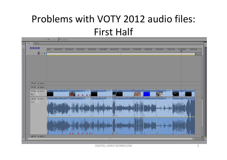## Problems with VOTY 2012 audio files: First Half



DIGITAL VIDEO WORKFLOW 3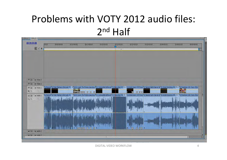## Problems with VOTY 2012 audio files: 2n<sup>d</sup> Half

| 00:23:51:08<br>$C$ $\circ$ $\circ$         | 00:00<br>00:05:00:00<br>00:15:00:00<br>00:20:00:00<br>00:10:00:00                                                                                                                                                                          | 00:35:00:00<br>00:25:00:00<br>00:30:00:00 | 00:40:00:00<br>00:45:00:00<br>00:50:00:00 |
|--------------------------------------------|--------------------------------------------------------------------------------------------------------------------------------------------------------------------------------------------------------------------------------------------|-------------------------------------------|-------------------------------------------|
|                                            |                                                                                                                                                                                                                                            | $\pm 10$                                  |                                           |
|                                            |                                                                                                                                                                                                                                            |                                           |                                           |
|                                            |                                                                                                                                                                                                                                            |                                           |                                           |
|                                            |                                                                                                                                                                                                                                            |                                           |                                           |
|                                            |                                                                                                                                                                                                                                            |                                           |                                           |
| $\triangleright$ Video 3<br>O <sub>2</sub> |                                                                                                                                                                                                                                            |                                           |                                           |
| $\triangleright$ Video 2<br>O <sub>2</sub> |                                                                                                                                                                                                                                            |                                           |                                           |
| O <sub>3</sub><br>v Video 1<br>口。          | The aven' 12 Past Olympic Glory.avi [V] + 13 Dr X and The Freeze Gun.mov [714 Crocodile Safari.mc <mark>715 Hero.mov [V] ity +</mark> 16 Arab Dawn VOTY.mov [17 Sacred Earth Sacred St. 18 Done Deal.mov [V] ity + 19 Newtown 150 Years Ol |                                           |                                           |
| Audio 1<br>中国                              | [11 Heaven] 12 Past Olympic Glory avi [A]   > [13 Dr X and The Freeze Gun.mov  [14 Ccrocodile Safari.mc] 15 Hero.mov [A] /el > 16 Arab Dawn VOTY.mov] 17 Sacred Earth Sacred Sr 18 Done Deal.mov [A] vel > 19 Newtown 150 Year             |                                           |                                           |
| 吗☆                                         |                                                                                                                                                                                                                                            |                                           |                                           |
|                                            |                                                                                                                                                                                                                                            |                                           |                                           |
|                                            |                                                                                                                                                                                                                                            |                                           |                                           |
|                                            |                                                                                                                                                                                                                                            |                                           |                                           |
|                                            |                                                                                                                                                                                                                                            |                                           |                                           |
|                                            |                                                                                                                                                                                                                                            |                                           |                                           |
|                                            |                                                                                                                                                                                                                                            |                                           |                                           |
| → Bill > Audio 2                           |                                                                                                                                                                                                                                            | W                                         |                                           |
|                                            |                                                                                                                                                                                                                                            |                                           |                                           |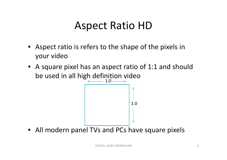## Aspect Ratio HD

- Aspect ratio is refers to the shape of the pixels in your video
- A square pixel has an aspect ratio of 1:1 and should be used in all high definition video



• All modern panel TVs and PCs have square pixels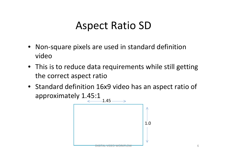### Aspect Ratio SD

- Non‐square pixels are used in standard definition video
- This is to reduce data requirements while still getting the correct aspect ratio
- Standard definition 16x9 video has an aspect ratio of approximately 1.45:1

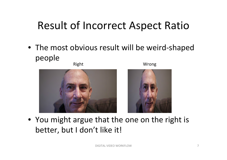## Result of Incorrect Aspect Ratio

• The most obvious result will be weird‐shaped people



Right Wrong



• You might argue that the one on the right is better, but I don't like it!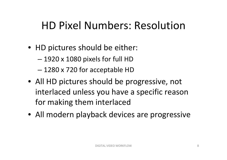## HD Pixel Numbers: Resolution

- HD pictures should be either:
	- 1920 <sup>x</sup> 1080 pixels for full HD
	- –1280 <sup>x</sup> 720 for acceptable HD
- All HD pictures should be progressive, not interlaced unless you have <sup>a</sup> specific reason for making them interlaced
- All modern playback devices are progressive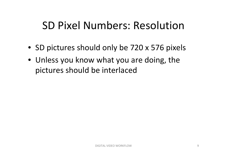## SD Pixel Numbers: Resolution

- SD pictures should only be 720 <sup>x</sup> 576 pixels
- Unless you know what you are doing, the pictures should be interlaced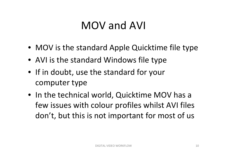## MOV and AVI

- MOV is the standard Apple Quicktime file type
- AVI is the standard Windows file type
- If in doubt, use the standard for your computer type
- In the technical world, Quicktime MOV has <sup>a</sup> few issues with colour profiles whilst AVI files don't, but this is not important for most of us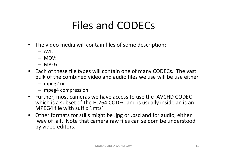# Files and CODECs

- The video media will contain files of some description:
	- AVI;
	- MOV;
	- MPEG
- Each of these file types will contain one of many CODECs. The vast bulk of the combined video and audio files we use will be use either
	- mpeg2 or
	- mpeg4 compression
- Further, most cameras we have access to use the AVCHD CODEC which is <sup>a</sup> subset of the H.264 CODEC and is usually inside an is an MPEG4 file with suffix '.mts'
- Other formats for stills might be .jpg or .psd and for audio, either .wav of .aif. Note that camera raw files can seldom be understood by video editors.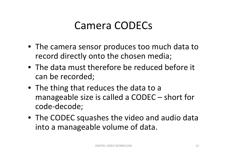## Camera CODECs

- The camera sensor produces too much data to record directly onto the chosen media;
- The data must therefore be reduced before it can be recorded;
- The thing that reduces the data to a manageable size is called a CODEC – short for code ‐decode;
- The CODEC squashes the video and audio data into a manageable volume of data.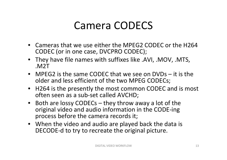## Camera CODECS

- Cameras that we use either the MPEG2 CODEC or the H264 CODEC (or in one case, DVCPRO CODEC);
- They have file names with suffixes like .AVI, .MOV, .MTS, .M2T
- MPEG2 is the same CODEC that we see on DVDs it is the older and less efficient of the two MPEG CODECs;
- H264 is the presently the most common CODEC and is most often seen as <sup>a</sup> sub‐set called AVCHD;
- Both are lossy CODECs they throw away <sup>a</sup> lot of the original video and audio information in the CODE‐ing process before the camera records it;
- When the video and audio are played back the data is DECODE‐d to try to recreate the original picture.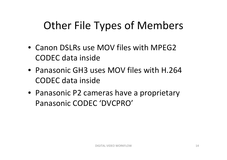# Other File Types of Members

- Canon DSLRs use MOV files with MPEG2 CODEC data inside
- Panasonic GH3 uses MOV files with H.264 CODEC data inside
- Panasonic P2 cameras have <sup>a</sup> proprietary Panasonic CODEC 'DVCPRO'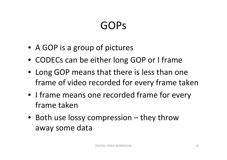# GOPs

- A GOP is <sup>a</sup> group of pictures
- CODECs can be either long GOP or I frame
- Long GOP means that there is less than one frame of video recorded for every frame taken
- I frame means one recorded frame for every frame taken
- Both use lossy compression they throw away some data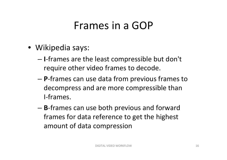## Frames in a GOP

- Wikipedia says:
	- **I**‐frames are the least compressible but don't require other video frames to decode.
	- **P**‐frames can use data from previous frames to decompress and are more compressible than I‐frames.
	- **B**‐frames can use both previous and forward frames for data reference to get the highest amount of data compression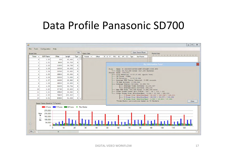#### Data Profile Panasonic SD700

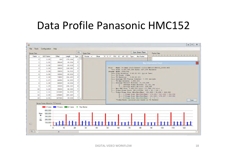### Data Profile Panasonic HMC152

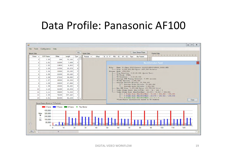#### Data Profile: Panasonic AF100

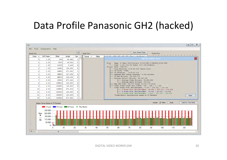#### Data Profile Panasonic GH2 (hacked)

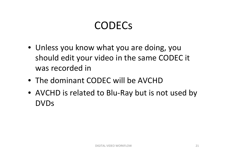# CODECs

- Unless you know what you are doing, you should edit your video in the same CODEC it was recorded in
- The dominant CODEC will be AVCHD
- AVCHD is related to Blu‐Ray but is not used by DVDs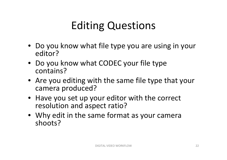# Editing Questions

- Do you know what file type you are using in your editor?
- Do you know what CODEC your file type contains?
- Are you editing with the same file type that your camera produced?
- Have you set up your editor with the correct resolution and aspect ratio?
- Why edit in the same format as your camera shoots?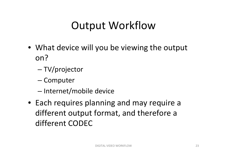## Output Workflow

- What device will you be viewing the output on?
	- –TV/projector
	- Computer
	- –- Internet/mobile device
- Each requires planning and may require <sup>a</sup> different output format, and therefore <sup>a</sup> different CODEC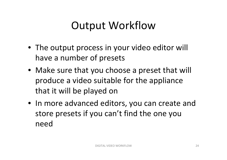## Output Workflow

- The output process in your video editor will have <sup>a</sup> number of presets
- Make sure that you choose <sup>a</sup> preset that will produce <sup>a</sup> video suitable for the appliance that it will be played on
- In more advanced editors, you can create and store presets if you can't find the one you need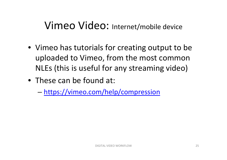- Vimeo has tutorials for creating output to be uploaded to Vimeo, from the most common NLEs (this is useful for any streaming video)
- These can be found at:
	- –https://vimeo.com/help/compression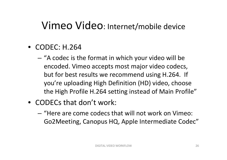- CODEC: H.264
	- "A codec is the format in which your video will be encoded. Vimeo accepts most major video codecs, but for best results we recommend using H.264. If you're uploading High Definition (HD) video, choose the High Profile H.264 setting instead of Main Profile"
- CODECs that don't work:
	- "Here are come codecs that will not work on Vimeo: Go2Meeting, Canopus HQ, Apple Intermediate Codec"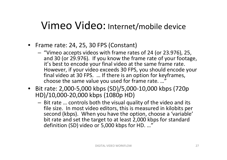- Frame rate: 24, 25, 30 FPS (Constant)
	- "Vimeo accepts videos with frame rates of 24 (or 23.976), 25, and 30 (or 29.976). If you know the frame rate of your footage, it's best to encode your final video at the same frame rate. However, if your video exceeds 30 FPS, you should encode your final video at 30 FPS. … If there is an option for keyframes, choose the same value you used for frame rate. …"
- Bit rate: 2,000‐5,000 kbps (SD)/5,000‐10,000 kbps (720p HD)/10,000‐20,000 kbps (1080p HD)
	- Bit rate … controls both the visual quality of the video and its file size. In most video editors, this is measured in kilobits per second (kbps). When you have the option, choose <sup>a</sup> 'variable' bit rate and set the target to at least 2,000 kbps for standard definition (SD) video or 5,000 kbps for HD. …"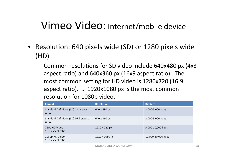- Resolution: 640 pixels wide (SD) or 1280 pixels wide (HD)
	- Common resolutions for SD video include 640x480 px (4x3 aspect ratio) and 640x360 px (16x9 aspect ratio). The most common setting for HD video is 1280x720 (16:9 aspect ratio). … 1920x1080 px is the most common resolution for 1080p video.

| Format                                        | <b>Resolution</b> | <b>Bit Rate</b>    |
|-----------------------------------------------|-------------------|--------------------|
| Standard Definition (SD) 4:3 aspect<br>ratio  | 640 x 480 px      | 2,000-5,000 kbps   |
| Standard Definition (SD) 16:9 aspect<br>ratio | 640 x 360 px      | 2,000-5,000 kbps   |
| 720p HD Video<br>16:9 aspect ratio            | 1280 x 720 px     | 5,000-10,000 kbps  |
| 1080p HD Video<br>16:9 aspect ratio           | 1920 x 1080 [x    | 10,000-20,000 kbps |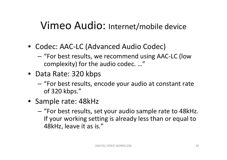- Codec: AAC‐LC (Advanced Audio Codec)
	- "For best results, we recommend using AAC-LC (low complexity) for the audio codec. …"
- Data Rate: 320 kbps
	- – "For best results, encode your audio at constant rate of 320 kbps."
- Sample rate: 48kHz
	- – "For best results, set your audio sample rate to 48kHz. If your working setting is already less than or equal to 48kHz, leave it as is."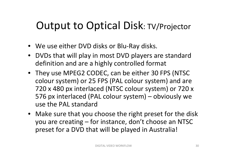## Output to Optical Disk: TV/Projector

- We use either DVD disks or Blu‐Ray disks.
- DVDs that will play in most DVD players are standard definition and are <sup>a</sup> highly controlled format
- They use MPEG2 CODEC, can be either 30 FPS (NTSC colour system) or 25 FPS (PAL colour system) and are 720 <sup>x</sup> 480 px interlaced (NTSC colour system) or 720 <sup>x</sup> 576 px interlaced (PAL colour system) – obviously we use the PAL standard
- Make sure that you choose the right preset for the disk you are creating – for instance, don't choose an NTSC preset for <sup>a</sup> DVD that will be played in Australia!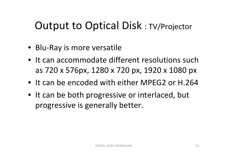## Output to Optical Disk : TV/Projector

- Blu‐Ray is more versatile
- It can accommodate different resolutions such as 720 <sup>x</sup> 576px, 1280 <sup>x</sup> 720 px, 1920 <sup>x</sup> 1080 px
- It can be encoded with either MPEG2 or H.264
- It can be both progressive or interlaced, but progressive is generally better.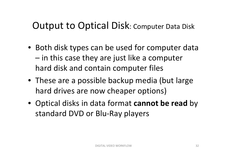#### Output to Optical Disk: Computer Data Disk

- Both disk types can be used for computer data – in this case they are just like <sup>a</sup> computer hard disk and contain computer files
- These are <sup>a</sup> possible backup media (but large hard drives are now cheaper options)
- Optical disks in data format **cannot be read** by standard DVD or Blu‐Ray players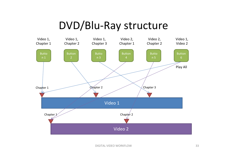## DVD/Blu‐Ray structure

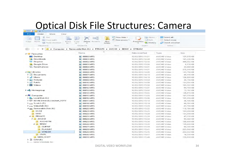#### Optical Disk File Structures: Camera

| 打<br>$\sqrt{6}$ Edit<br>Mill Copy path<br>Easy access *<br>Paste<br>Delete Rename<br>New<br>Properties<br>Copy<br>tviove<br>Copy<br><b>C</b> ia History<br>a Paste shortcut<br>to<br>to<br>folder<br>New<br>Clipboard<br>Organise<br>Open<br>个<br>> Computer > Removable Disk (K:) > PRIVATE > AVCHD > BDMV<br>$\mathcal{H}$<br>> STREAM<br>Date modified<br>Name<br>Desktop<br>00000.MTS<br>10/03/2013 11:51<br>理<br>n Downloads<br>图 00001.MTS<br>10/03/2013 12:38<br>Dropbox<br>00002.MTS<br>10/03/2013 12:43<br>野川<br><b>Google Drive</b><br>■ 00003.MTS<br>10/03/2013 13:00<br><b>Recent places</b><br>00004.MTS<br>理<br>10/03/2013 14:01<br>00005.MTS<br>郡<br>10/03/2013 14:01<br>00006.MTS<br>10/03/2013 14:05<br>野<br>00007.MTS<br>10/03/2013 14:10<br>野<br>00008.MTS<br>10/03/2013 14:19<br>理<br>00009.MTS<br>郡<br>10/03/2013 14:59<br>00010.MTS<br>理解<br>10/03/2013 14:59<br>图 00011.MTS<br>10/03/2013 15:00<br>00012.MTS<br>10/03/2013 15:01<br>野川<br>00013.MTS<br>10/03/2013 15:03<br>要例<br>00014.MTS<br>10/03/2013 15:04<br>郡<br>00015.MTS<br>10/03/2013 15:05<br>理<br>00016.MTS<br>10/03/2013 15:06<br>理解<br>00017.MTS<br>型<br>10/03/2013 15:10<br>题 00018.MTS<br>10/03/2013 15:19<br>郡<br>00019.MTS<br>10/03/2013 15:20<br>那<br>00020.MTS<br>10/03/2013 15:22<br><b>DCIM</b><br>四<br>00021.MTS<br>10/03/2013 15:25<br><b>MISC</b><br>00022.MTS<br>罪刑<br>10/03/2013 15:26<br><b>PRIVATE</b><br>$\overline{A}$<br>00023.MTS<br>10/03/2013 15:29<br>野<br>4 AVCHD<br>题 00024.MTS<br>10/03/2013 15:34<br>AVCHDTN<br>00025.MTS<br>10/03/2013 15:36<br>型<br>4 BDMV<br>理<br>00026.MTS<br>10/03/2013 15:38<br><b>CLIPINF</b><br>00027.MTS<br>帮<br>10/03/2013 15:39<br><b>PLAYLIST</b><br><b>ED</b> 00028.MTS<br>10/03/2013 15:41<br><b>STREAM</b><br>理<br>00029.MTS<br>10/03/2013 15:45 | Open -<br>Select all<br>음음 Select none |            |
|-----------------------------------------------------------------------------------------------------------------------------------------------------------------------------------------------------------------------------------------------------------------------------------------------------------------------------------------------------------------------------------------------------------------------------------------------------------------------------------------------------------------------------------------------------------------------------------------------------------------------------------------------------------------------------------------------------------------------------------------------------------------------------------------------------------------------------------------------------------------------------------------------------------------------------------------------------------------------------------------------------------------------------------------------------------------------------------------------------------------------------------------------------------------------------------------------------------------------------------------------------------------------------------------------------------------------------------------------------------------------------------------------------------------------------------------------------------------------------------------------------------------------------------------------------------------------------------------------------------------------------------------------------------------------------------------------------------------------------------------------------------------------------------------------|----------------------------------------|------------|
|                                                                                                                                                                                                                                                                                                                                                                                                                                                                                                                                                                                                                                                                                                                                                                                                                                                                                                                                                                                                                                                                                                                                                                                                                                                                                                                                                                                                                                                                                                                                                                                                                                                                                                                                                                                               | 음목 Invert selection                    |            |
| $\left(\leftarrow\right)$<br>4 Favourites                                                                                                                                                                                                                                                                                                                                                                                                                                                                                                                                                                                                                                                                                                                                                                                                                                                                                                                                                                                                                                                                                                                                                                                                                                                                                                                                                                                                                                                                                                                                                                                                                                                                                                                                                     | Select                                 |            |
|                                                                                                                                                                                                                                                                                                                                                                                                                                                                                                                                                                                                                                                                                                                                                                                                                                                                                                                                                                                                                                                                                                                                                                                                                                                                                                                                                                                                                                                                                                                                                                                                                                                                                                                                                                                               |                                        |            |
|                                                                                                                                                                                                                                                                                                                                                                                                                                                                                                                                                                                                                                                                                                                                                                                                                                                                                                                                                                                                                                                                                                                                                                                                                                                                                                                                                                                                                                                                                                                                                                                                                                                                                                                                                                                               | Type                                   | Size       |
| 4 Libraries<br>$\triangleright$ $\blacksquare$ Documents<br>$\triangleright$ Music<br>$\triangleright$ $\blacksquare$ Pictures<br>$\triangleright$ <b>M</b> Videos<br>$\triangleright$ <b>Local Disk (C:)</b><br><b>D</b> BD-RE Drive (E:) Joubert VOTY<br>$\triangleright$ $\square$ Video Edit (G:)<br>4 Removable Disk (K:)                                                                                                                                                                                                                                                                                                                                                                                                                                                                                                                                                                                                                                                                                                                                                                                                                                                                                                                                                                                                                                                                                                                                                                                                                                                                                                                                                                                                                                                                | <b>AVCHD Video</b>                     | 121,878 KB |
|                                                                                                                                                                                                                                                                                                                                                                                                                                                                                                                                                                                                                                                                                                                                                                                                                                                                                                                                                                                                                                                                                                                                                                                                                                                                                                                                                                                                                                                                                                                                                                                                                                                                                                                                                                                               | AVCHD Video                            | 161,346 KB |
|                                                                                                                                                                                                                                                                                                                                                                                                                                                                                                                                                                                                                                                                                                                                                                                                                                                                                                                                                                                                                                                                                                                                                                                                                                                                                                                                                                                                                                                                                                                                                                                                                                                                                                                                                                                               | AVCHD Video                            | 466,032 KB |
|                                                                                                                                                                                                                                                                                                                                                                                                                                                                                                                                                                                                                                                                                                                                                                                                                                                                                                                                                                                                                                                                                                                                                                                                                                                                                                                                                                                                                                                                                                                                                                                                                                                                                                                                                                                               | <b>AVCHD</b> Video                     | 6,156 KB   |
|                                                                                                                                                                                                                                                                                                                                                                                                                                                                                                                                                                                                                                                                                                                                                                                                                                                                                                                                                                                                                                                                                                                                                                                                                                                                                                                                                                                                                                                                                                                                                                                                                                                                                                                                                                                               | AVCHD Video                            | 34,860 KB  |
|                                                                                                                                                                                                                                                                                                                                                                                                                                                                                                                                                                                                                                                                                                                                                                                                                                                                                                                                                                                                                                                                                                                                                                                                                                                                                                                                                                                                                                                                                                                                                                                                                                                                                                                                                                                               | AVCHD Video                            | 370,548 KB |
|                                                                                                                                                                                                                                                                                                                                                                                                                                                                                                                                                                                                                                                                                                                                                                                                                                                                                                                                                                                                                                                                                                                                                                                                                                                                                                                                                                                                                                                                                                                                                                                                                                                                                                                                                                                               | AVCHD Video                            | 141,756 KB |
|                                                                                                                                                                                                                                                                                                                                                                                                                                                                                                                                                                                                                                                                                                                                                                                                                                                                                                                                                                                                                                                                                                                                                                                                                                                                                                                                                                                                                                                                                                                                                                                                                                                                                                                                                                                               | <b>AVCHD Video</b>                     | 49,116 KB  |
| $\triangleright$ $\blacksquare$ Public<br>$\triangleright$ $\cdot$ Homegroup<br>4 <sup>1</sup> Computer<br>$D_{\text{true}}$ Scratch (F:)                                                                                                                                                                                                                                                                                                                                                                                                                                                                                                                                                                                                                                                                                                                                                                                                                                                                                                                                                                                                                                                                                                                                                                                                                                                                                                                                                                                                                                                                                                                                                                                                                                                     | <b>AVCHD Video</b>                     | 136,890 KB |
|                                                                                                                                                                                                                                                                                                                                                                                                                                                                                                                                                                                                                                                                                                                                                                                                                                                                                                                                                                                                                                                                                                                                                                                                                                                                                                                                                                                                                                                                                                                                                                                                                                                                                                                                                                                               | AVCHD Video                            | 30,756 KB  |
|                                                                                                                                                                                                                                                                                                                                                                                                                                                                                                                                                                                                                                                                                                                                                                                                                                                                                                                                                                                                                                                                                                                                                                                                                                                                                                                                                                                                                                                                                                                                                                                                                                                                                                                                                                                               | AVCHD Video                            | 134,034 KB |
|                                                                                                                                                                                                                                                                                                                                                                                                                                                                                                                                                                                                                                                                                                                                                                                                                                                                                                                                                                                                                                                                                                                                                                                                                                                                                                                                                                                                                                                                                                                                                                                                                                                                                                                                                                                               | <b>AVCHD Video</b>                     | 103,302 KB |
|                                                                                                                                                                                                                                                                                                                                                                                                                                                                                                                                                                                                                                                                                                                                                                                                                                                                                                                                                                                                                                                                                                                                                                                                                                                                                                                                                                                                                                                                                                                                                                                                                                                                                                                                                                                               | AVCHD Video                            | 94,704 KB  |
|                                                                                                                                                                                                                                                                                                                                                                                                                                                                                                                                                                                                                                                                                                                                                                                                                                                                                                                                                                                                                                                                                                                                                                                                                                                                                                                                                                                                                                                                                                                                                                                                                                                                                                                                                                                               | AVCHD Video                            | 73,782 KB  |
|                                                                                                                                                                                                                                                                                                                                                                                                                                                                                                                                                                                                                                                                                                                                                                                                                                                                                                                                                                                                                                                                                                                                                                                                                                                                                                                                                                                                                                                                                                                                                                                                                                                                                                                                                                                               | <b>AVCHD Video</b>                     | 126,678 KB |
|                                                                                                                                                                                                                                                                                                                                                                                                                                                                                                                                                                                                                                                                                                                                                                                                                                                                                                                                                                                                                                                                                                                                                                                                                                                                                                                                                                                                                                                                                                                                                                                                                                                                                                                                                                                               | <b>AVCHD Video</b>                     | 167,370 KB |
|                                                                                                                                                                                                                                                                                                                                                                                                                                                                                                                                                                                                                                                                                                                                                                                                                                                                                                                                                                                                                                                                                                                                                                                                                                                                                                                                                                                                                                                                                                                                                                                                                                                                                                                                                                                               | <b>AVCHD Video</b>                     | 101,616 KB |
|                                                                                                                                                                                                                                                                                                                                                                                                                                                                                                                                                                                                                                                                                                                                                                                                                                                                                                                                                                                                                                                                                                                                                                                                                                                                                                                                                                                                                                                                                                                                                                                                                                                                                                                                                                                               | AVCHD Video                            | 36,186 KB  |
|                                                                                                                                                                                                                                                                                                                                                                                                                                                                                                                                                                                                                                                                                                                                                                                                                                                                                                                                                                                                                                                                                                                                                                                                                                                                                                                                                                                                                                                                                                                                                                                                                                                                                                                                                                                               | <b>AVCHD Video</b>                     | 89,184 KB  |
|                                                                                                                                                                                                                                                                                                                                                                                                                                                                                                                                                                                                                                                                                                                                                                                                                                                                                                                                                                                                                                                                                                                                                                                                                                                                                                                                                                                                                                                                                                                                                                                                                                                                                                                                                                                               | <b>AVCHD Video</b>                     | 65,766 KB  |
|                                                                                                                                                                                                                                                                                                                                                                                                                                                                                                                                                                                                                                                                                                                                                                                                                                                                                                                                                                                                                                                                                                                                                                                                                                                                                                                                                                                                                                                                                                                                                                                                                                                                                                                                                                                               | AVCHD Video                            | 116,784 KB |
|                                                                                                                                                                                                                                                                                                                                                                                                                                                                                                                                                                                                                                                                                                                                                                                                                                                                                                                                                                                                                                                                                                                                                                                                                                                                                                                                                                                                                                                                                                                                                                                                                                                                                                                                                                                               | AVCHD Video                            | 104,298 KB |
|                                                                                                                                                                                                                                                                                                                                                                                                                                                                                                                                                                                                                                                                                                                                                                                                                                                                                                                                                                                                                                                                                                                                                                                                                                                                                                                                                                                                                                                                                                                                                                                                                                                                                                                                                                                               | AVCHD Video                            | 134,556 KB |
|                                                                                                                                                                                                                                                                                                                                                                                                                                                                                                                                                                                                                                                                                                                                                                                                                                                                                                                                                                                                                                                                                                                                                                                                                                                                                                                                                                                                                                                                                                                                                                                                                                                                                                                                                                                               | <b>AVCHD Video</b>                     | 47,250 KB  |
|                                                                                                                                                                                                                                                                                                                                                                                                                                                                                                                                                                                                                                                                                                                                                                                                                                                                                                                                                                                                                                                                                                                                                                                                                                                                                                                                                                                                                                                                                                                                                                                                                                                                                                                                                                                               | <b>AVCHD Video</b>                     | 93,684 KB  |
|                                                                                                                                                                                                                                                                                                                                                                                                                                                                                                                                                                                                                                                                                                                                                                                                                                                                                                                                                                                                                                                                                                                                                                                                                                                                                                                                                                                                                                                                                                                                                                                                                                                                                                                                                                                               | AVCHD Video                            | 109,800 KB |
|                                                                                                                                                                                                                                                                                                                                                                                                                                                                                                                                                                                                                                                                                                                                                                                                                                                                                                                                                                                                                                                                                                                                                                                                                                                                                                                                                                                                                                                                                                                                                                                                                                                                                                                                                                                               | AVCHD Video                            | 135,600 KB |
|                                                                                                                                                                                                                                                                                                                                                                                                                                                                                                                                                                                                                                                                                                                                                                                                                                                                                                                                                                                                                                                                                                                                                                                                                                                                                                                                                                                                                                                                                                                                                                                                                                                                                                                                                                                               | <b>AVCHD</b> Video                     | 94,566 KB  |
|                                                                                                                                                                                                                                                                                                                                                                                                                                                                                                                                                                                                                                                                                                                                                                                                                                                                                                                                                                                                                                                                                                                                                                                                                                                                                                                                                                                                                                                                                                                                                                                                                                                                                                                                                                                               | AVCHD Video                            | 225,666 KB |
|                                                                                                                                                                                                                                                                                                                                                                                                                                                                                                                                                                                                                                                                                                                                                                                                                                                                                                                                                                                                                                                                                                                                                                                                                                                                                                                                                                                                                                                                                                                                                                                                                                                                                                                                                                                               | AVCHD Video                            | 223,032 KB |
| <b>IISVPL</b><br>型 00030.MTS<br>10/03/2013 15:47                                                                                                                                                                                                                                                                                                                                                                                                                                                                                                                                                                                                                                                                                                                                                                                                                                                                                                                                                                                                                                                                                                                                                                                                                                                                                                                                                                                                                                                                                                                                                                                                                                                                                                                                              | AVCHD Video                            | 76,350 KB  |
| MOV_SHOT<br>00031.MTS<br>10/03/2013 15:48<br>理<br>$\triangleright$ $\cong$ SVM (R:)                                                                                                                                                                                                                                                                                                                                                                                                                                                                                                                                                                                                                                                                                                                                                                                                                                                                                                                                                                                                                                                                                                                                                                                                                                                                                                                                                                                                                                                                                                                                                                                                                                                                                                           | AVCHD Video                            | 150,810 KB |

DIGITAL VIDEO WORKFLOW 34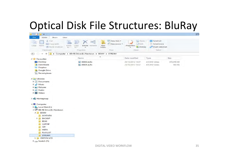## Optical Disk File Structures: BluRay

| $\mathbf{D}$ $\mathbf{D}$ = 1                                   |                                                           |                                              |                                           |                                                     |            | ST |
|-----------------------------------------------------------------|-----------------------------------------------------------|----------------------------------------------|-------------------------------------------|-----------------------------------------------------|------------|----|
| Home<br>File<br>View<br>Share                                   |                                                           |                                              |                                           |                                                     |            |    |
| % Cut<br>旨<br>Will Copy path<br>Copy<br>Paste<br>Paste shortcut | 中川<br>Move<br>Delete Rename<br>Copy<br>to-<br>$to -$<br>٠ | New item -<br>Easy access *<br>New<br>folder | Open -<br>Edit<br>Properties<br>D History | Select all<br>88 Select none<br>음명 Invert selection |            |    |
| Clipboard                                                       | Organise                                                  | <b>New</b>                                   | Open                                      | Select                                              |            |    |
| $(\Leftrightarrow)$<br>$E = 0$<br>$\mathcal{P}$<br>个            | ▶ Computer ▶ BD-RE Drive (E:) Newtown ▶                   | BDMV > STREAM                                |                                           |                                                     |            |    |
| 4 Favourites                                                    | Name                                                      | ۰                                            | Date modified                             | Type                                                | Size       |    |
| Desktop                                                         | 图 00000.m2ts                                              |                                              | 23/10/2012 15:37                          | AVCHD Video                                         | 670,656 KB |    |
| Downloads                                                       | 图 00001.m2ts                                              |                                              | 23/10/2012 15:37                          | AVCHD Video                                         | 960 KB     |    |
| Dropbox                                                         |                                                           |                                              |                                           |                                                     |            |    |
| Google Drive                                                    |                                                           |                                              |                                           |                                                     |            |    |
| Recent places                                                   |                                                           |                                              |                                           |                                                     |            |    |
| 4 Libraries                                                     |                                                           |                                              |                                           |                                                     |            |    |
| $\triangleright$ $\blacksquare$ Documents                       |                                                           |                                              |                                           |                                                     |            |    |
| $\triangleright$ Music                                          |                                                           |                                              |                                           |                                                     |            |    |
| $\triangleright$ Pictures                                       |                                                           |                                              |                                           |                                                     |            |    |
| $\triangleright$ Public                                         |                                                           |                                              |                                           |                                                     |            |    |
| $\triangleright$ <b>Wideos</b>                                  |                                                           |                                              |                                           |                                                     |            |    |
| <b>D</b> Homegroup                                              |                                                           |                                              |                                           |                                                     |            |    |
| 4 <sup>1</sup> Computer                                         |                                                           |                                              |                                           |                                                     |            |    |
| $\triangleright$ $\frac{1}{2}$ Local Disk (C:)                  |                                                           |                                              |                                           |                                                     |            |    |
| 4 BD-RE Drive (E:) Newtown                                      |                                                           |                                              |                                           |                                                     |            |    |
| 4 BDMV                                                          |                                                           |                                              |                                           |                                                     |            |    |
| <b>AUXDATA</b>                                                  |                                                           |                                              |                                           |                                                     |            |    |
| <b>D</b> BACKUP                                                 |                                                           |                                              |                                           |                                                     |            |    |
| <b>BDJO</b>                                                     |                                                           |                                              |                                           |                                                     |            |    |
| <b>CLIPINF</b>                                                  |                                                           |                                              |                                           |                                                     |            |    |
| JAR                                                             |                                                           |                                              |                                           |                                                     |            |    |
| <b>META</b>                                                     |                                                           |                                              |                                           |                                                     |            |    |
| PLAYLIST                                                        |                                                           |                                              |                                           |                                                     |            |    |
| <b>STREAM</b>                                                   |                                                           |                                              |                                           |                                                     |            |    |
| CERTIFICATE<br>$D_{\text{max}}$                                 |                                                           |                                              |                                           |                                                     |            |    |
| $\triangleright$ $\equiv$ Scratch (F:)                          |                                                           |                                              |                                           |                                                     |            |    |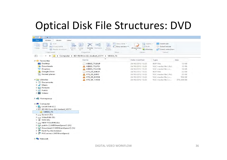### Optical Disk File Structures: DVD

| $\Rightarrow$ 1                                                              |                                                       |                                                   |                                                     |                                                     |            |
|------------------------------------------------------------------------------|-------------------------------------------------------|---------------------------------------------------|-----------------------------------------------------|-----------------------------------------------------|------------|
| File<br>Home<br>Share<br>View                                                |                                                       |                                                   |                                                     |                                                     |            |
| do Cut<br>Mill Copy path<br>Paste<br>Copy<br>Move<br>a Paste shortcut<br>to. | $= 0$<br>Delete Rename<br>CODV<br>to                  | New Item -<br>J<br>Easy access *<br>New<br>folder | Open -<br>Fdit<br>Properties<br><b>C</b> ia History | Select all<br>음음 Select none<br>음명 Invert selection |            |
| Clipboard                                                                    | Organise                                              | New                                               | Open                                                | Select                                              |            |
| $\leftarrow$<br>个<br>÷                                                       | > Computer > BD-RE Drive (E:) Joubert_VOTY > VIDEO_TS |                                                   |                                                     |                                                     |            |
| <b>4</b> Favourites                                                          | Name                                                  |                                                   | Date modified                                       | Type                                                | Size       |
| Desktop                                                                      | VIDEO_TS.BUP                                          |                                                   | 24/10/2012 13:22                                    | <b>BUP File</b>                                     | 12 KB      |
| Downloads                                                                    | VIDEO_TS.IFO                                          |                                                   | 24/10/2012 13:22                                    | VLC media file (.ifo)                               | 12 KB      |
| <b>Dropbox</b><br><b>Air</b>                                                 | VIDEO_TS.VOB                                          |                                                   | 24/10/2012 13:22                                    | VLC media file (.v                                  | 10 KB      |
| Google Drive                                                                 | VTS_01_0.BUP                                          |                                                   | 24/10/2012 13:22                                    | <b>BUP File</b>                                     | 22 KB      |
| Recent places                                                                | VTS_01_0.IFO                                          |                                                   | 24/10/2012 13:22                                    | VLC media file (.ifo)                               | 22 KB      |
|                                                                              | VTS_01_0.VOB                                          |                                                   | 24/10/2012 13:22                                    | VLC media file (.v                                  | 196 KB     |
| 4 Libraries                                                                  | <b>VTS_01_1.VOB</b>                                   |                                                   | 24/10/2012 13:22                                    | VLC media file (.v                                  | 570,398 KB |
| $\triangleright$ $\blacksquare$ Documents                                    |                                                       |                                                   |                                                     |                                                     |            |
| $\triangleright$ Music                                                       |                                                       |                                                   |                                                     |                                                     |            |
| $\triangleright$ Pictures                                                    |                                                       |                                                   |                                                     |                                                     |            |
| $\triangleright$ $\blacksquare$ Public                                       |                                                       |                                                   |                                                     |                                                     |            |
| $\triangleright$ <b>Wideos</b>                                               |                                                       |                                                   |                                                     |                                                     |            |
| <b>D Homegroup</b>                                                           |                                                       |                                                   |                                                     |                                                     |            |
| 4 <sup>2</sup> Computer                                                      |                                                       |                                                   |                                                     |                                                     |            |
| $\triangleright$ $\blacksquare$ , Local Disk (C:)                            |                                                       |                                                   |                                                     |                                                     |            |
| 4 BD-RE Drive (E:) Joubert_VOTY                                              |                                                       |                                                   |                                                     |                                                     |            |
| VIDEO_TS                                                                     |                                                       |                                                   |                                                     |                                                     |            |
| $\triangleright$ $\equiv$ Scratch (F:)                                       |                                                       |                                                   |                                                     |                                                     |            |
| $\triangleright$ $\equiv$ VideoEdit (G:)                                     |                                                       |                                                   |                                                     |                                                     |            |
| $\triangleright$ $\mathbb{R}$ SVM (R:)                                       |                                                       |                                                   |                                                     |                                                     |            |
| $\triangleright$ $\square$ NEW VOLUME (S:)                                   |                                                       |                                                   |                                                     |                                                     |            |
| public (\\WDShareSpace1) (X:)                                                |                                                       |                                                   |                                                     |                                                     |            |
| Download (\\WDShareSpace1) (Y:)                                              |                                                       |                                                   |                                                     |                                                     |            |
| <b>D Kent Fry</b> (kentvideo)                                                |                                                       |                                                   |                                                     |                                                     |            |
| p PVConnect (WDShareSpace)                                                   |                                                       |                                                   |                                                     |                                                     |            |
|                                                                              |                                                       |                                                   |                                                     |                                                     |            |

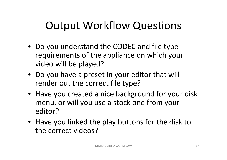## Output Workflow Questions

- Do you understand the CODEC and file type requirements of the appliance on which your video will be played?
- Do you have <sup>a</sup> preset in your editor that will render out the correct file type?
- Have you created <sup>a</sup> nice background for your disk menu, or will you use <sup>a</sup> stock one from your editor?
- Have you linked the play buttons for the disk to the correct videos?